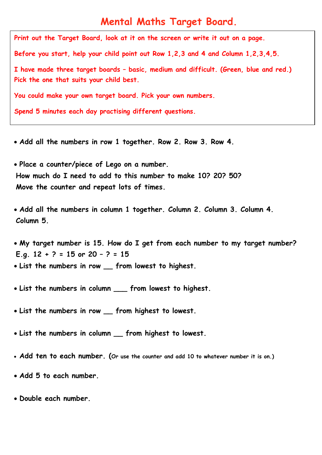## **Mental Maths Target Board.**

**Print out the Target Board, look at it on the screen or write it out on a page.** 

**Before you start, help your child point out Row 1,2,3 and 4 and Column 1,2,3,4,5.** 

**I have made three target boards – basic, medium and difficult. (Green, blue and red.) Pick the one that suits your child best.**

**You could make your own target board. Pick your own numbers.**

**Spend 5 minutes each day practising different questions.** 

- **Add all the numbers in row 1 together. Row 2. Row 3. Row 4.**
- **Place a counter/piece of Lego on a number. How much do I need to add to this number to make 10? 20? 50? Move the counter and repeat lots of times.**
- **Add all the numbers in column 1 together. Column 2. Column 3. Column 4. Column 5.**

 **My target number is 15. How do I get from each number to my target number? E.g. 12 + ? = 15 or 20 – ? = 15 List the numbers in row \_\_ from lowest to highest.** 

- **List the numbers in column \_\_\_ from lowest to highest.**
- **List the numbers in row \_\_ from highest to lowest.**
- **List the numbers in column \_\_ from highest to lowest.**
- **Add ten to each number. (Or use the counter and add 10 to whatever number it is on.)**
- **Add 5 to each number.**
- **Double each number.**